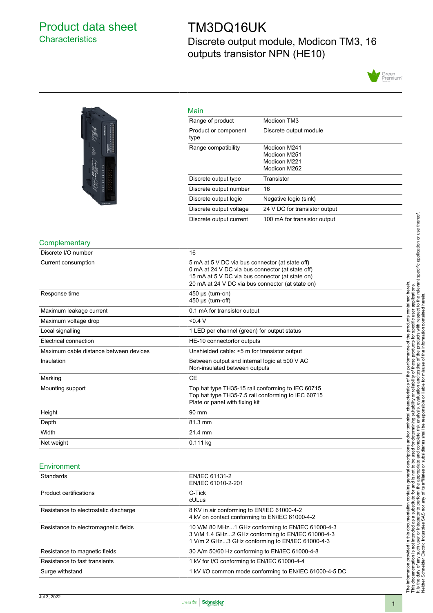### <span id="page-0-0"></span>Product data sheet **Characteristics**

### TM3DQ16UK

Discrete output module, Modicon TM3, 16 outputs transistor NPN (HE10)





| Main                         |                                                              |
|------------------------------|--------------------------------------------------------------|
| Range of product             | Modicon TM3                                                  |
| Product or component<br>type | Discrete output module                                       |
| Range compatibility          | Modicon M241<br>Modicon M251<br>Modicon M221<br>Modicon M262 |
| Discrete output type         | Transistor                                                   |
| Discrete output number       | 16                                                           |
| Discrete output logic        | Negative logic (sink)                                        |
| Discrete output voltage      | 24 V DC for transistor output                                |
| Discrete output current      | 100 mA for transistor output                                 |

#### **Complementary**

| Discrete I/O number                    | 16                                                                                                                                                                                                         |  |  |
|----------------------------------------|------------------------------------------------------------------------------------------------------------------------------------------------------------------------------------------------------------|--|--|
| Current consumption                    | 5 mA at 5 V DC via bus connector (at state off)<br>0 mA at 24 V DC via bus connector (at state off)<br>15 mA at 5 V DC via bus connector (at state on)<br>20 mA at 24 V DC via bus connector (at state on) |  |  |
| Response time                          | $450 \mu s$ (turn-on)<br>$450 \mu s$ (turn-off)                                                                                                                                                            |  |  |
| Maximum leakage current                | 0.1 mA for transistor output                                                                                                                                                                               |  |  |
| Maximum voltage drop                   | < 0.4 V                                                                                                                                                                                                    |  |  |
| Local signalling                       | 1 LED per channel (green) for output status                                                                                                                                                                |  |  |
| Electrical connection                  | HE-10 connectorfor outputs                                                                                                                                                                                 |  |  |
| Maximum cable distance between devices | Unshielded cable: <5 m for transistor output                                                                                                                                                               |  |  |
| Insulation                             | Between output and internal logic at 500 V AC<br>Non-insulated between outputs                                                                                                                             |  |  |
| Marking                                | <b>CE</b>                                                                                                                                                                                                  |  |  |
| Mounting support                       | Top hat type TH35-15 rail conforming to IEC 60715<br>Top hat type TH35-7.5 rail conforming to IEC 60715<br>Plate or panel with fixing kit                                                                  |  |  |
| Height                                 | 90 mm                                                                                                                                                                                                      |  |  |
| Depth                                  | 81.3 mm                                                                                                                                                                                                    |  |  |
| Width                                  | 21.4 mm                                                                                                                                                                                                    |  |  |
| Net weight                             | $0.111$ kg                                                                                                                                                                                                 |  |  |

#### Environment

| EN/IEC 61131-2<br>EN/IEC 61010-2-201                                                                                                                      |  |  |
|-----------------------------------------------------------------------------------------------------------------------------------------------------------|--|--|
| C-Tick<br>cULus                                                                                                                                           |  |  |
| 8 KV in air conforming to EN/IEC 61000-4-2<br>4 kV on contact conforming to EN/IEC 61000-4-2                                                              |  |  |
| 10 V/M 80 MHz1 GHz conforming to EN/IEC 61000-4-3<br>3 V/M 1.4 GHz2 GHz conforming to EN/IEC 61000-4-3<br>1 V/m 2 GHz3 GHz conforming to EN/IEC 61000-4-3 |  |  |
| 30 A/m 50/60 Hz conforming to EN/IEC 61000-4-8                                                                                                            |  |  |
| 1 kV for I/O conforming to EN/IEC 61000-4-4                                                                                                               |  |  |
| 1 kV I/O common mode conforming to EN/IEC 61000-4-5 DC                                                                                                    |  |  |
|                                                                                                                                                           |  |  |

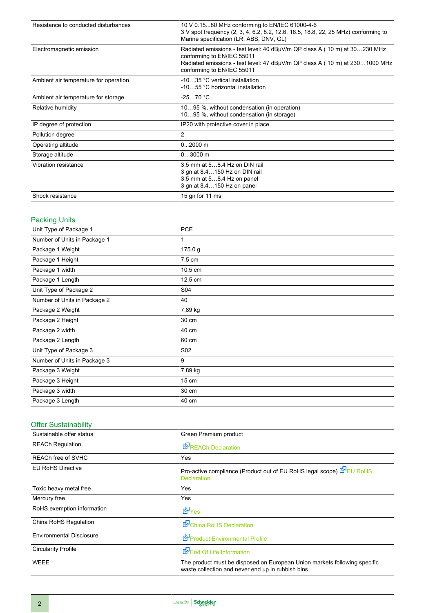| Resistance to conducted disturbances                                                                                                               | 10 V 0.1580 MHz conforming to EN/IEC 61000-4-6<br>3 V spot frequency (2, 3, 4, 6.2, 8.2, 12.6, 16.5, 18.8, 22, 25 MHz) conforming to<br>Marine specification (LR, ABS, DNV, GL)                                      |  |  |  |
|----------------------------------------------------------------------------------------------------------------------------------------------------|----------------------------------------------------------------------------------------------------------------------------------------------------------------------------------------------------------------------|--|--|--|
| Electromagnetic emission                                                                                                                           | Radiated emissions - test level: 40 dBµV/m QP class A (10 m) at 30230 MHz<br>conforming to EN/IEC 55011<br>Radiated emissions - test level: 47 dBµV/m QP class A (10 m) at 2301000 MHz<br>conforming to EN/IEC 55011 |  |  |  |
| Ambient air temperature for operation                                                                                                              | -1035 °C vertical installation<br>-1055 °C horizontal installation                                                                                                                                                   |  |  |  |
| Ambient air temperature for storage                                                                                                                | $-2570 °C$                                                                                                                                                                                                           |  |  |  |
| Relative humidity                                                                                                                                  | 1095 %, without condensation (in operation)<br>1095 %, without condensation (in storage)                                                                                                                             |  |  |  |
| IP degree of protection                                                                                                                            | IP20 with protective cover in place                                                                                                                                                                                  |  |  |  |
| Pollution degree                                                                                                                                   | 2                                                                                                                                                                                                                    |  |  |  |
| Operating altitude                                                                                                                                 | $02000$ m                                                                                                                                                                                                            |  |  |  |
| Storage altitude                                                                                                                                   | $03000$ m                                                                                                                                                                                                            |  |  |  |
| Vibration resistance<br>3.5 mm at 58.4 Hz on DIN rail<br>3 gn at 8.4150 Hz on DIN rail<br>3.5 mm at 58.4 Hz on panel<br>3 gn at 8.4150 Hz on panel |                                                                                                                                                                                                                      |  |  |  |
| Shock resistance                                                                                                                                   | 15 gn for 11 ms                                                                                                                                                                                                      |  |  |  |

#### Packing Units

| Unit Type of Package 1       | <b>PCE</b>      |  |
|------------------------------|-----------------|--|
| Number of Units in Package 1 | 1               |  |
| Package 1 Weight             | 175.0 g         |  |
| Package 1 Height             | 7.5 cm          |  |
| Package 1 width              | 10.5 cm         |  |
| Package 1 Length             | 12.5 cm         |  |
| Unit Type of Package 2       | S04             |  |
| Number of Units in Package 2 | 40              |  |
| Package 2 Weight             | 7.89 kg         |  |
| Package 2 Height             | 30 cm           |  |
| Package 2 width              | 40 cm           |  |
| Package 2 Length             | 60 cm           |  |
| Unit Type of Package 3       | S <sub>02</sub> |  |
| Number of Units in Package 3 | 9               |  |
| Package 3 Weight             | 7.89 kg         |  |
| Package 3 Height             | 15 cm           |  |
| Package 3 width              | 30 cm           |  |
| Package 3 Length             | 40 cm           |  |
|                              |                 |  |

### Offer Sustainability

| Sustainable offer status                                                                                             | Green Premium product                                                                                                          |  |  |
|----------------------------------------------------------------------------------------------------------------------|--------------------------------------------------------------------------------------------------------------------------------|--|--|
| <b>REACh Regulation</b>                                                                                              | <b>E</b> <sup>I</sup> REACh Declaration                                                                                        |  |  |
| REACh free of SVHC                                                                                                   | Yes                                                                                                                            |  |  |
| <b>EU RoHS Directive</b><br>Pro-active compliance (Product out of EU RoHS legal scope) EU RoHS<br><b>Declaration</b> |                                                                                                                                |  |  |
| Toxic heavy metal free                                                                                               | Yes                                                                                                                            |  |  |
| Mercury free                                                                                                         | Yes                                                                                                                            |  |  |
| RoHS exemption information                                                                                           | 图 <sub>Yes</sub>                                                                                                               |  |  |
| China RoHS Regulation                                                                                                | China RoHS Declaration                                                                                                         |  |  |
| <b>Environmental Disclosure</b>                                                                                      | Product Environmental Profile                                                                                                  |  |  |
| <b>Circularity Profile</b>                                                                                           | End Of Life Information                                                                                                        |  |  |
| <b>WEEE</b>                                                                                                          | The product must be disposed on European Union markets following specific<br>waste collection and never end up in rubbish bins |  |  |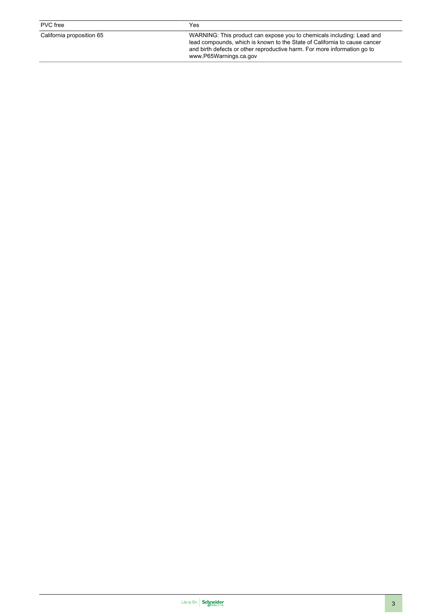| <b>PVC</b> free           | Yes                                                                                                                                                                                                                                                      |
|---------------------------|----------------------------------------------------------------------------------------------------------------------------------------------------------------------------------------------------------------------------------------------------------|
| California proposition 65 | WARNING: This product can expose you to chemicals including: Lead and<br>lead compounds, which is known to the State of California to cause cancer<br>and birth defects or other reproductive harm. For more information go to<br>www.P65Warnings.ca.gov |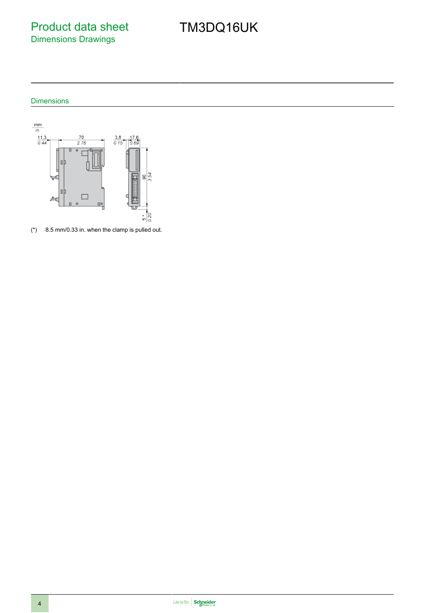Product data sheet Dimensions Drawings

# TM3DQ16UK

#### Dimensions



(\*) 8.5 mm/0.33 in. when the clamp is pulled out.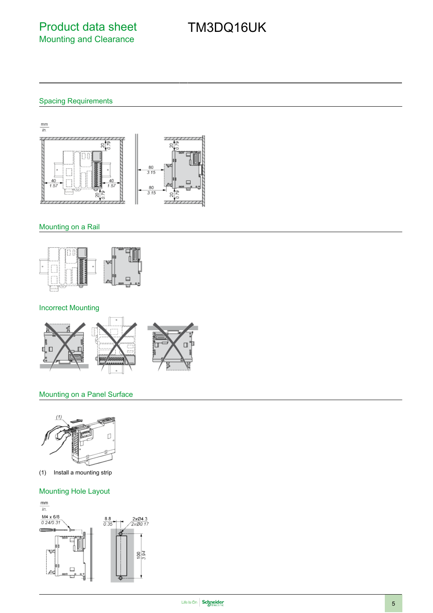## TM3DQ16UK

#### Spacing Requirements



#### Mounting on a Rail



#### Incorrect Mounting



### Mounting on a Panel Surface



(1) Install a mounting strip

#### Mounting Hole Layout